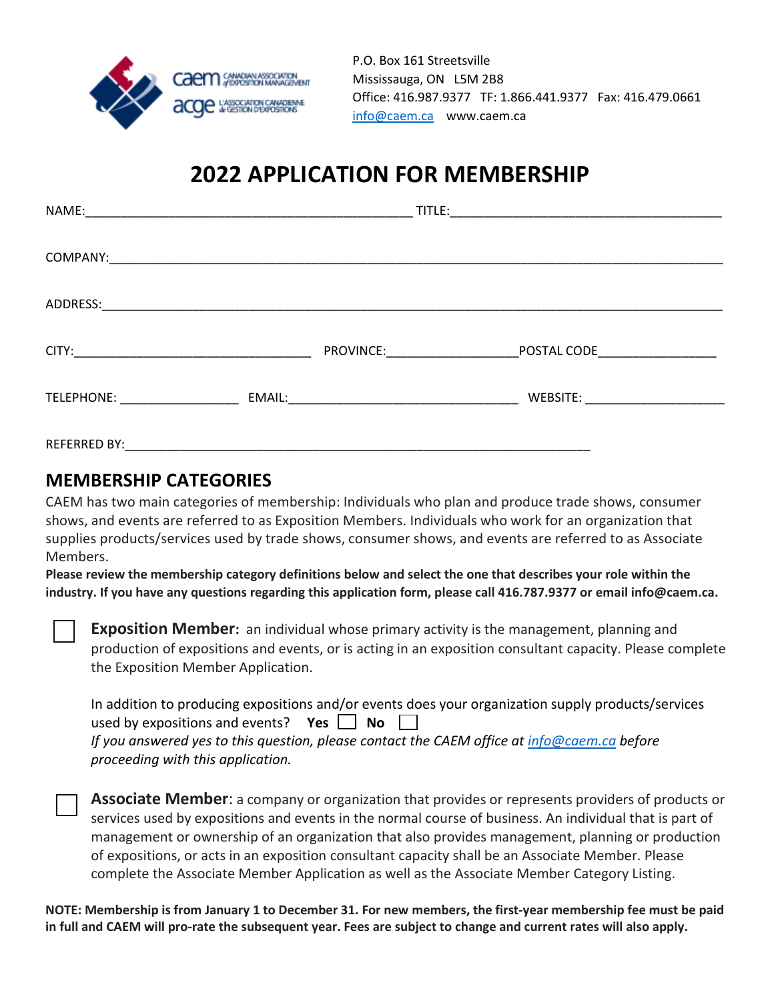

P.O. Box 161 Streetsville Mississauga, ON L5M 2B8 Office: 416.987.9377 TF: 1.866.441.9377 Fax: 416.479.0661 info@caem.ca www.caem.ca

## **2022 APPLICATION FOR MEMBERSHIP**

|                     |  | <b>PROVINCE:</b> The contract of the contract of the contract of the contract of the contract of the contract of the contract of the contract of the contract of the contract of the contract of the contract of the contract of th | POSTAL CODE____________________ |  |
|---------------------|--|-------------------------------------------------------------------------------------------------------------------------------------------------------------------------------------------------------------------------------------|---------------------------------|--|
|                     |  |                                                                                                                                                                                                                                     |                                 |  |
| <b>REFERRED BY:</b> |  |                                                                                                                                                                                                                                     |                                 |  |

### **MEMBERSHIP CATEGORIES**

CAEM has two main categories of membership: Individuals who plan and produce trade shows, consumer shows, and events are referred to as Exposition Members. Individuals who work for an organization that supplies products/services used by trade shows, consumer shows, and events are referred to as Associate Members.

**Please review the membership category definitions below and select the one that describes your role within the industry. If you have any questions regarding this application form, please call 416.787.9377 or email info@caem.ca.**

**Exposition Member:** an individual whose primary activity is the management, planning and production of expositions and events, or is acting in an exposition consultant capacity. Please complete the Exposition Member Application.

| In addition to producing expositions and/or events does your organization supply products/services |
|----------------------------------------------------------------------------------------------------|
| used by expositions and events? Yes $\Box$ No $\Box$                                               |
| If you answered yes to this question, please contact the CAEM office at info@caem.ca before        |
| proceeding with this application.                                                                  |

**Associate Member**: a company or organization that provides or represents providers of products or services used by expositions and events in the normal course of business. An individual that is part of management or ownership of an organization that also provides management, planning or production of expositions, or acts in an exposition consultant capacity shall be an Associate Member. Please complete the Associate Member Application as well as the Associate Member Category Listing.

**NOTE: Membership is from January 1 to December 31. For new members, the first-year membership fee must be paid in full and CAEM will pro-rate the subsequent year. Fees are subject to change and current rates will also apply.**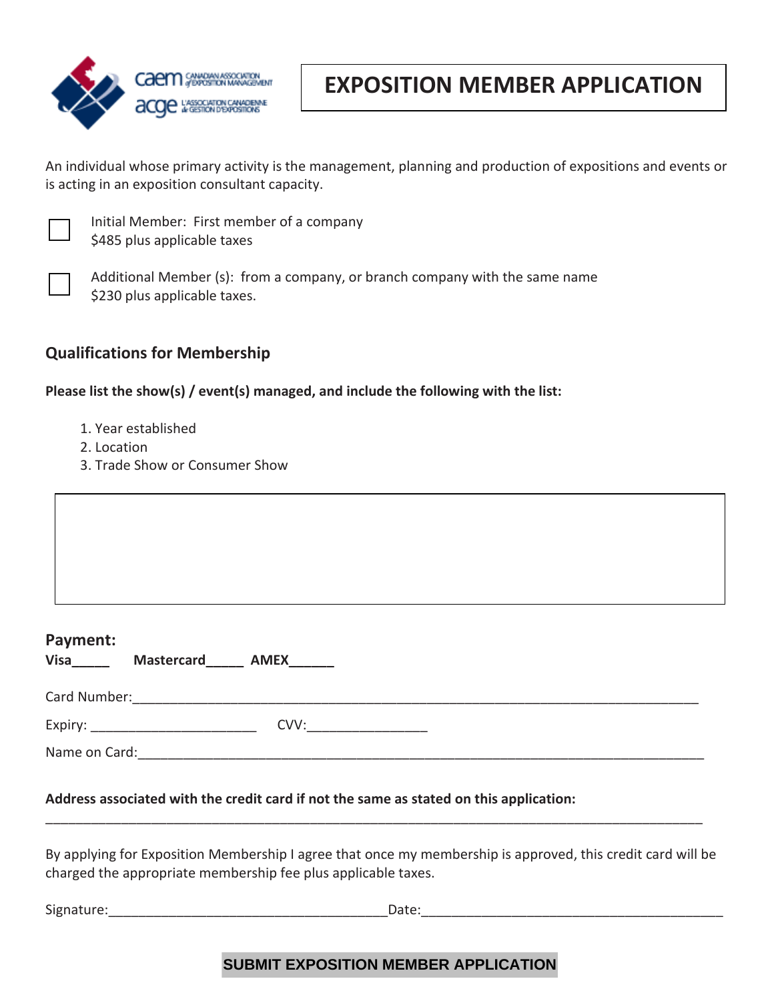

### **EXPOSITION MEMBER APPLICATION**

An individual whose primary activity is the management, planning and production of expositions and events or is acting in an exposition consultant capacity.



Initial Member: First member of a company \$485 plus applicable taxes



Additional Member (s): from a company, or branch company with the same name \$230 plus applicable taxes.

#### **Qualifications for Membership**

**Please list the show(s) / event(s) managed, and include the following with the list:**

- 1. Year established
- 2. Location
- 3. Trade Show or Consumer Show

| Payment:             |  |  |
|----------------------|--|--|
| Visa Mastercard AMEX |  |  |
|                      |  |  |
|                      |  |  |
|                      |  |  |

By applying for Exposition Membership I agree that once my membership is approved, this credit card will be charged the appropriate membership fee plus applicable taxes.

\_\_\_\_\_\_\_\_\_\_\_\_\_\_\_\_\_\_\_\_\_\_\_\_\_\_\_\_\_\_\_\_\_\_\_\_\_\_\_\_\_\_\_\_\_\_\_\_\_\_\_\_\_\_\_\_\_\_\_\_\_\_\_\_\_\_\_\_\_\_\_\_\_\_\_\_\_\_\_\_\_\_\_\_\_\_\_

Signature:\_\_\_\_\_\_\_\_\_\_\_\_\_\_\_\_\_\_\_\_\_\_\_\_\_\_\_\_\_\_\_\_\_\_\_\_\_Date:\_\_\_\_\_\_\_\_\_\_\_\_\_\_\_\_\_\_\_\_\_\_\_\_\_\_\_\_\_\_\_\_\_\_\_\_\_\_\_\_

### **SUBMIT EXPOSITION MEMBER APPLICATION**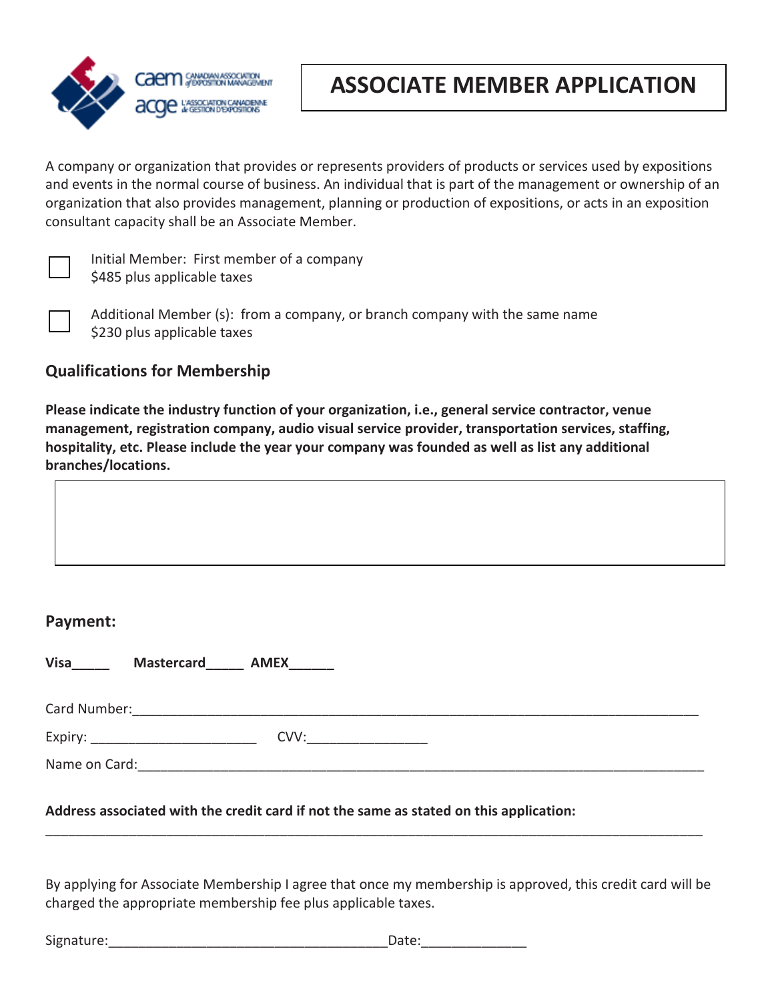

## **ASSOCIATE MEMBER APPLICATION**

A company or organization that provides or represents providers of products or services used by expositions and events in the normal course of business. An individual that is part of the management or ownership of an organization that also provides management, planning or production of expositions, or acts in an exposition consultant capacity shall be an Associate Member.



Initial Member: First member of a company \$485 plus applicable taxes



Additional Member (s): from a company, or branch company with the same name \$230 plus applicable taxes

#### **Qualifications for Membership**

**Please indicate the industry function of your organization, i.e., general service contractor, venue management, registration company, audio visual service provider, transportation services, staffing, hospitality, etc. Please include the year your company was founded as well as list any additional branches/locations.** 

#### **Payment:**

Visa\_\_\_\_\_\_\_\_ Mastercard AMEX

| Card Number: |                                        |
|--------------|----------------------------------------|
| Expiry       | $\gamma$ $\gamma$<br>∽<br>____________ |

Name on Card:\_\_\_\_\_\_\_\_\_\_\_\_\_\_\_\_\_\_\_\_\_\_\_\_\_\_\_\_\_\_\_\_\_\_\_\_\_\_\_\_\_\_\_\_\_\_\_\_\_\_\_\_\_\_\_\_\_\_\_\_\_\_\_\_\_\_\_\_\_\_\_\_\_\_\_

#### **Address associated with the credit card if not the same as stated on this application:**

By applying for Associate Membership I agree that once my membership is approved, this credit card will be charged the appropriate membership fee plus applicable taxes.

\_\_\_\_\_\_\_\_\_\_\_\_\_\_\_\_\_\_\_\_\_\_\_\_\_\_\_\_\_\_\_\_\_\_\_\_\_\_\_\_\_\_\_\_\_\_\_\_\_\_\_\_\_\_\_\_\_\_\_\_\_\_\_\_\_\_\_\_\_\_\_\_\_\_\_\_\_\_\_\_\_\_\_\_\_\_\_

| Signature: | Date: |
|------------|-------|
|            |       |